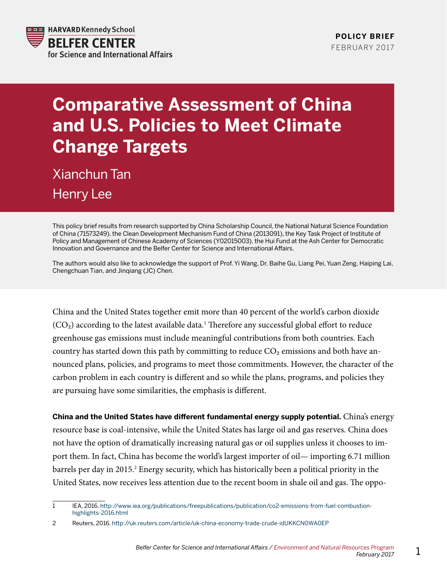

## **Comparative Assessment of China and U.S. Policies to Meet Climate Change Targets**

Xianchun Tan Henry Lee

This policy brief results from research supported by China Scholarship Council, the National Natural Science Foundation of China (71573249), the Clean Development Mechanism Fund of China (2013091), the Key Task Project of Institute of Policy and Management of Chinese Academy of Sciences (Y02015003), the Hui Fund at the Ash Center for Democratic Innovation and Governance and the Belfer Center for Science and International Affairs.

The authors would also like to acknowledge the support of Prof. Yi Wang, Dr. Baihe Gu, Liang Pei, Yuan Zeng, Haiping Lai, Chengchuan Tian, and Jinqiang (JC) Chen.

China and the United States together emit more than 40 percent of the world's carbon dioxide  $(CO<sub>2</sub>)$  according to the latest available data.<sup>1</sup> Therefore any successful global effort to reduce greenhouse gas emissions must include meaningful contributions from both countries. Each country has started down this path by committing to reduce  $CO<sub>2</sub>$  emissions and both have announced plans, policies, and programs to meet those commitments. However, the character of the carbon problem in each country is different and so while the plans, programs, and policies they are pursuing have some similarities, the emphasis is different.

**China and the United States have different fundamental energy supply potential.** China's energy resource base is coal-intensive, while the United States has large oil and gas reserves. China does not have the option of dramatically increasing natural gas or oil supplies unless it chooses to import them. In fact, China has become the world's largest importer of oil— importing 6.71 million barrels per day in 2015.<sup>2</sup> Energy security, which has historically been a political priority in the United States, now receives less attention due to the recent boom in shale oil and gas. The oppo-

<sup>1</sup> IEA, 2016. [http://www.iea.org/publications/freepublications/publication/co2-emissions-from-fuel-combustion](http://www.iea.org/publications/freepublications/publication/co2-emissions-from-fuel-combustion-highlights-2016.html)[highlights-2016.html](http://www.iea.org/publications/freepublications/publication/co2-emissions-from-fuel-combustion-highlights-2016.html) 

<sup>2</sup> Reuters, 2016.<http://uk.reuters.com/article/uk-china-economy-trade-crude-idUKKCN0WA0EP>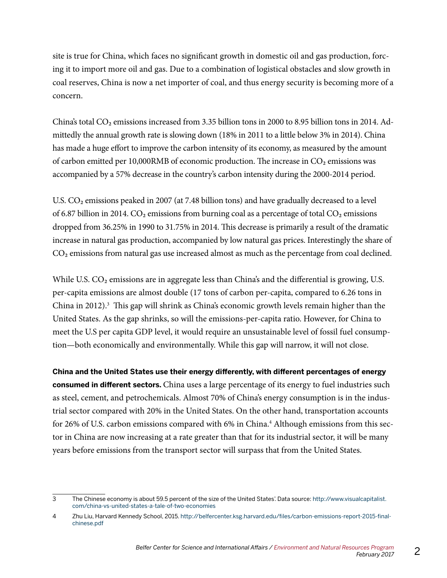site is true for China, which faces no significant growth in domestic oil and gas production, forcing it to import more oil and gas. Due to a combination of logistical obstacles and slow growth in coal reserves, China is now a net importer of coal, and thus energy security is becoming more of a concern.

China's total  $CO_2$  emissions increased from 3.35 billion tons in 2000 to 8.95 billion tons in 2014. Admittedly the annual growth rate is slowing down (18% in 2011 to a little below 3% in 2014). China has made a huge effort to improve the carbon intensity of its economy, as measured by the amount of carbon emitted per 10,000RMB of economic production. The increase in  $CO<sub>2</sub>$  emissions was accompanied by a 57% decrease in the country's carbon intensity during the 2000-2014 period.

U.S.  $CO<sub>2</sub>$  emissions peaked in 2007 (at 7.48 billion tons) and have gradually decreased to a level of 6.87 billion in 2014.  $CO<sub>2</sub>$  emissions from burning coal as a percentage of total  $CO<sub>2</sub>$  emissions dropped from 36.25% in 1990 to 31.75% in 2014. This decrease is primarily a result of the dramatic increase in natural gas production, accompanied by low natural gas prices. Interestingly the share of CO2 emissions from natural gas use increased almost as much as the percentage from coal declined.

While U.S.  $CO<sub>2</sub>$  emissions are in aggregate less than China's and the differential is growing, U.S. per-capita emissions are almost double (17 tons of carbon per-capita, compared to 6.26 tons in China in 2012).<sup>3</sup> This gap will shrink as China's economic growth levels remain higher than the United States. As the gap shrinks, so will the emissions-per-capita ratio. However, for China to meet the U.S per capita GDP level, it would require an unsustainable level of fossil fuel consumption—both economically and environmentally. While this gap will narrow, it will not close.

**China and the United States use their energy differently, with different percentages of energy consumed in different sectors.** China uses a large percentage of its energy to fuel industries such as steel, cement, and petrochemicals. Almost 70% of China's energy consumption is in the industrial sector compared with 20% in the United States. On the other hand, transportation accounts for 26% of U.S. carbon emissions compared with 6% in China.<sup>4</sup> Although emissions from this sector in China are now increasing at a rate greater than that for its industrial sector, it will be many years before emissions from the transport sector will surpass that from the United States.

<sup>3</sup> The Chinese economy is about 59.5 percent of the size of the United States'. Data source: [http://www.visualcapitalist.](http://www.visualcapitalist.com/china-vs-united-states-a-tale-of-two-economies) [com/china-vs-united-states-a-tale-of-two-economies](http://www.visualcapitalist.com/china-vs-united-states-a-tale-of-two-economies)

<sup>4</sup> Zhu Liu, Harvard Kennedy School, 2015. [http://belfercenter.ksg.harvard.edu/files/carbon-emissions-report-2015-final](http://belfercenter.ksg.harvard.edu/files/carbon-emissions-report-2015-final-chinese.pdf)[chinese.pdf](http://belfercenter.ksg.harvard.edu/files/carbon-emissions-report-2015-final-chinese.pdf)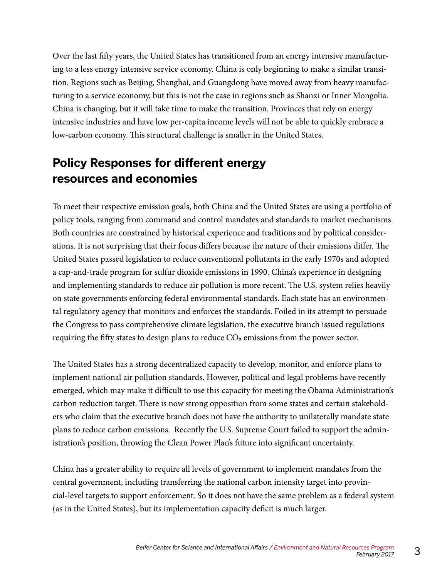Over the last fifty years, the United States has transitioned from an energy intensive manufacturing to a less energy intensive service economy. China is only beginning to make a similar transition. Regions such as Beijing, Shanghai, and Guangdong have moved away from heavy manufacturing to a service economy, but this is not the case in regions such as Shanxi or Inner Mongolia. China is changing, but it will take time to make the transition. Provinces that rely on energy intensive industries and have low per-capita income levels will not be able to quickly embrace a low-carbon economy. This structural challenge is smaller in the United States.

## **Policy Responses for different energy resources and economies**

To meet their respective emission goals, both China and the United States are using a portfolio of policy tools, ranging from command and control mandates and standards to market mechanisms. Both countries are constrained by historical experience and traditions and by political considerations. It is not surprising that their focus differs because the nature of their emissions differ. The United States passed legislation to reduce conventional pollutants in the early 1970s and adopted a cap-and-trade program for sulfur dioxide emissions in 1990. China's experience in designing and implementing standards to reduce air pollution is more recent. The U.S. system relies heavily on state governments enforcing federal environmental standards. Each state has an environmental regulatory agency that monitors and enforces the standards. Foiled in its attempt to persuade the Congress to pass comprehensive climate legislation, the executive branch issued regulations requiring the fifty states to design plans to reduce  $CO<sub>2</sub>$  emissions from the power sector.

The United States has a strong decentralized capacity to develop, monitor, and enforce plans to implement national air pollution standards. However, political and legal problems have recently emerged, which may make it difficult to use this capacity for meeting the Obama Administration's carbon reduction target. There is now strong opposition from some states and certain stakeholders who claim that the executive branch does not have the authority to unilaterally mandate state plans to reduce carbon emissions. Recently the U.S. Supreme Court failed to support the administration's position, throwing the Clean Power Plan's future into significant uncertainty.

China has a greater ability to require all levels of government to implement mandates from the central government, including transferring the national carbon intensity target into provincial-level targets to support enforcement. So it does not have the same problem as a federal system (as in the United States), but its implementation capacity deficit is much larger.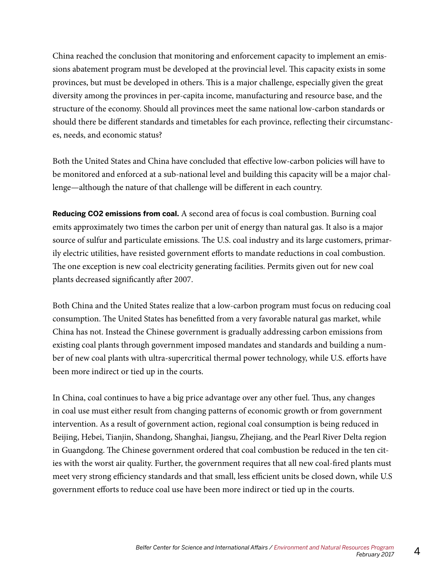China reached the conclusion that monitoring and enforcement capacity to implement an emissions abatement program must be developed at the provincial level. This capacity exists in some provinces, but must be developed in others. This is a major challenge, especially given the great diversity among the provinces in per-capita income, manufacturing and resource base, and the structure of the economy. Should all provinces meet the same national low-carbon standards or should there be different standards and timetables for each province, reflecting their circumstances, needs, and economic status?

Both the United States and China have concluded that effective low-carbon policies will have to be monitored and enforced at a sub-national level and building this capacity will be a major challenge—although the nature of that challenge will be different in each country.

**Reducing CO2 emissions from coal.** A second area of focus is coal combustion. Burning coal emits approximately two times the carbon per unit of energy than natural gas. It also is a major source of sulfur and particulate emissions. The U.S. coal industry and its large customers, primarily electric utilities, have resisted government efforts to mandate reductions in coal combustion. The one exception is new coal electricity generating facilities. Permits given out for new coal plants decreased significantly after 2007.

Both China and the United States realize that a low-carbon program must focus on reducing coal consumption. The United States has benefitted from a very favorable natural gas market, while China has not. Instead the Chinese government is gradually addressing carbon emissions from existing coal plants through government imposed mandates and standards and building a number of new coal plants with ultra-supercritical thermal power technology, while U.S. efforts have been more indirect or tied up in the courts.

In China, coal continues to have a big price advantage over any other fuel. Thus, any changes in coal use must either result from changing patterns of economic growth or from government intervention. As a result of government action, regional coal consumption is being reduced in Beijing, Hebei, Tianjin, Shandong, Shanghai, Jiangsu, Zhejiang, and the Pearl River Delta region in Guangdong. The Chinese government ordered that coal combustion be reduced in the ten cities with the worst air quality. Further, the government requires that all new coal-fired plants must meet very strong efficiency standards and that small, less efficient units be closed down, while U.S government efforts to reduce coal use have been more indirect or tied up in the courts.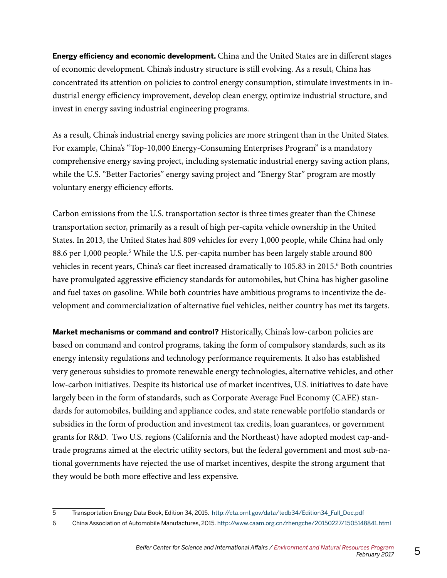**Energy efficiency and economic development.** China and the United States are in different stages of economic development. China's industry structure is still evolving. As a result, China has concentrated its attention on policies to control energy consumption, stimulate investments in industrial energy efficiency improvement, develop clean energy, optimize industrial structure, and invest in energy saving industrial engineering programs.

As a result, China's industrial energy saving policies are more stringent than in the United States. For example, China's "Top-10,000 Energy-Consuming Enterprises Program" is a mandatory comprehensive energy saving project, including systematic industrial energy saving action plans, while the U.S. "Better Factories" energy saving project and "Energy Star" program are mostly voluntary energy efficiency efforts.

Carbon emissions from the U.S. transportation sector is three times greater than the Chinese transportation sector, primarily as a result of high per-capita vehicle ownership in the United States. In 2013, the United States had 809 vehicles for every 1,000 people, while China had only 88.6 per 1,000 people.<sup>5</sup> While the U.S. per-capita number has been largely stable around 800 vehicles in recent years, China's car fleet increased dramatically to 105.83 in 2015.<sup>6</sup> Both countries have promulgated aggressive efficiency standards for automobiles, but China has higher gasoline and fuel taxes on gasoline. While both countries have ambitious programs to incentivize the development and commercialization of alternative fuel vehicles, neither country has met its targets.

**Market mechanisms or command and control?** Historically, China's low-carbon policies are based on command and control programs, taking the form of compulsory standards, such as its energy intensity regulations and technology performance requirements. It also has established very generous subsidies to promote renewable energy technologies, alternative vehicles, and other low-carbon initiatives. Despite its historical use of market incentives, U.S. initiatives to date have largely been in the form of standards, such as Corporate Average Fuel Economy (CAFE) standards for automobiles, building and appliance codes, and state renewable portfolio standards or subsidies in the form of production and investment tax credits, loan guarantees, or government grants for R&D. Two U.S. regions (California and the Northeast) have adopted modest cap-andtrade programs aimed at the electric utility sectors, but the federal government and most sub-national governments have rejected the use of market incentives, despite the strong argument that they would be both more effective and less expensive.

<sup>5</sup> Transportation Energy Data Book, Edition 34, 2015. http://cta.ornl.gov/data/tedb34/Edition34\_Full\_Doc.pdf

<sup>6</sup> China Association of Automobile Manufactures, 2015. http://www.caam.org.cn/zhengche/20150227/1505148841.html